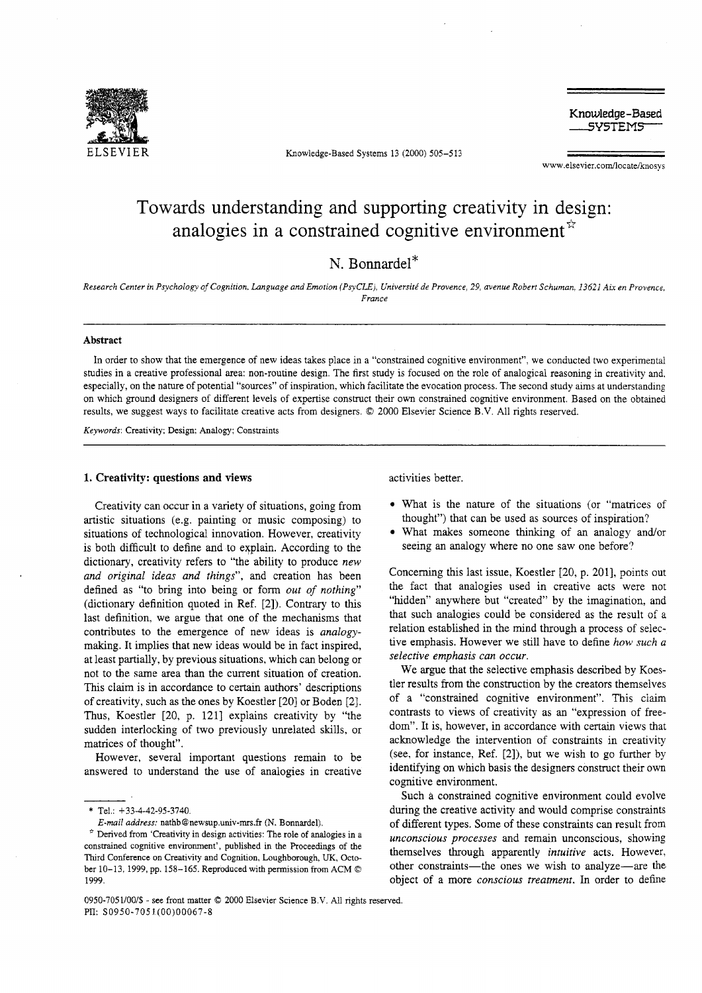

ELSEVIER Knowledge-Based Systems 13 (2000) 505-513

Knowledge-Based 5Y5TEM5

www.elsevier.com/iocate/knosvs

# Towards understanding and supporting creativity in design: analogies in a constrained cognitive environment $\mathbf{\hat{z}}$

N. Bonnardel\*

Research Center in Psychology of Cognition, Language and Emotion (PsyCLE), Université de Provence, 29, avenue Robert Schuman, 13621 Aix en Provence, France

#### Abstract

In order to show that the emergence of new ideas takes place in a "constrained cognitive environment", we conducted two experimental shrdies in a creaiive professional area: non-routine design. The first study is focused on the role of analogical reasoning in creativity and. especially, on the nature of potential "sources" of inspiration. which facilitate the evocation process. The second study aims at understanding on which ground designers of different leveis of expenise construct their own constrained cognitive environment. Based on the obrained results, we suggest ways to facilitate creative acts from desigaers. @ 2000 Elsevier Science B.V. All rights reserved.

Keywords: Creativity; Design; Analogy; Constraints

#### 1. Creativity: questions and views

Creativity can occur in a variery of situations, going from artistic situations (e.g. painting or music composing) to situations of technological innovation. However, creativity is both diffrcult to defrne and to explain. According to the dictionary, creativity refers to "the ability to produce new and original ideas and things", and creation has been defined as "to bring into being or form out of nothing" (dictionary definition quoted in Ref. [2]). Contrary to this last definition, we argue that one of the mechanisms that contributes to the emergence of new ideas is analogymaking. It implies that new ideas would be in fact inspired, at least partially, by previous situations, which can belong or not to the same area than the current situation of creation. This ciaim is in accordance to certain authors' descriptions of creativity, such as the ones by Koestler [20] or Boden [2]. Thus, Koestler 120, p. l2ll explains creativity by "the sudden interlocking of two previously unrelated skiils, or matrices of thought".

However, several important questions remain to be answered to understand the use of analosies in creative activities better.

- e What is the nature of the situations (or "matrices of thought") that can be used as sources of inspiration?
- What makes someone thinking of an analogy and/or seeing an analogy where no one saw one before?

Conceming this last issue, Koestler [20, p. 201], points out the fact that analogies used in creative acts were not "hidden" anywhere but "created" by the imagination, and that such analogies could be considered as the result of a relation established in the mind through a process of seiective emphasis. However we still have to define how such a selective emphasis can occur.

We argue that the selective emphasis described by Koestier results from the construction by the creators themseives of a "constrained cognitive environment". This claim contrasts to views of creativity as an "expression of freedom". It is. however. in accordance with certain views that acknowledge the intervention of constraints in creativity (see, for instance, Ref. [2]), but we wish to go further by identifying on which basis the designers construct their own cognitive environment.

Such a constrained cognitive environment could evolve during the creative activity and would comprise constraints of different types. Some of these constraints can result from unconscious processes and remain unconscious, showing themselves through apparently intuitive acts. However, other constraints—the ones we wish to analyze—are the object of a more *conscious treatment*. In order to define

<sup>\*</sup> Tel.: +33-4-42-95-3740.<br>E-mail address: nathb@newsup.univ-mrs.fr (N. Bonnardel).

 $E^{\text{c}}$  Derived from 'Creativity in design activities: The role of analogies in a constrained cognitive environment', published in the Proceedings of the Third Conference on Creativity and Cognition, Loughborough. LIK, October 10-13, 1999, pp. 158-165. Reproduced with permission from ACM O 1999.

<sup>0950-7051/00/\$ -</sup> see front matter © 2000 Elsevier Science B.V. All rights reserved. PII: S0950-7051(00)00067-8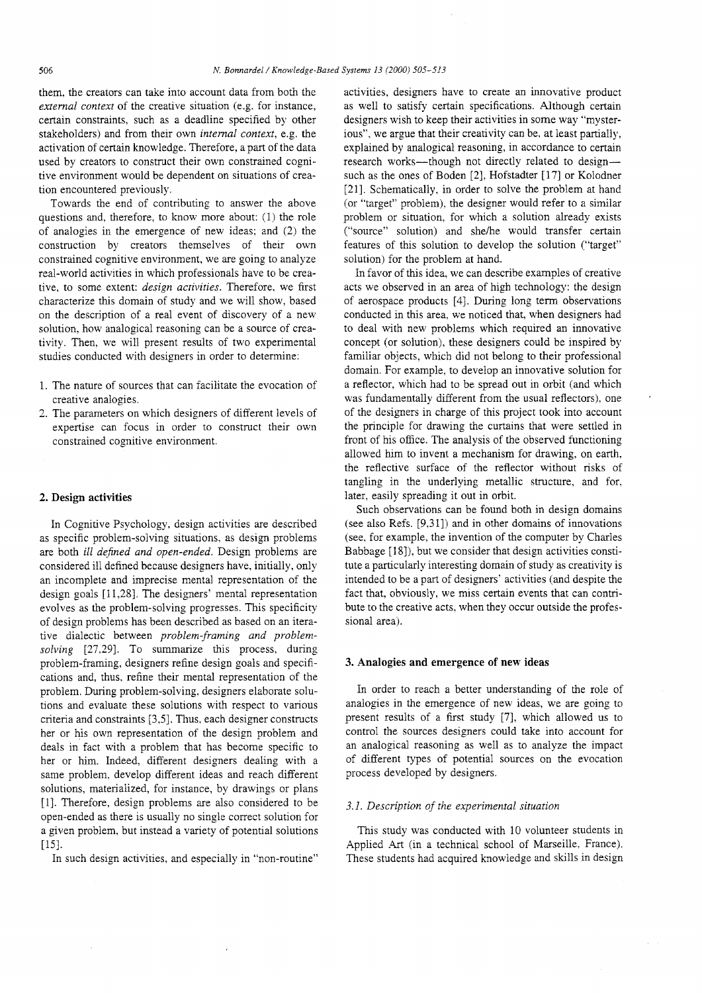them, the creators can take into account data from both the external context of the creative situation (e.g. for instance, certain constraints, such as a deadline specified by other stakehoiders) and from their own internal context, e.g. the activation of certain knowledge. Therefore, a part of the data used by creators to construct their own constrained cognitive environment would be dependent on situations of creation encountered previously.

Towards the end of contributing to answer the above questions and. therefore, to know more about: (1) the role of analogies in the emergence of new ideas; and (2) the construction by creators themselves of their own constrained cognitive environment, we are going to analyze real-world activities in which professionals have to be creative, to some extent: design activities. Therefore, we first characterize this domain of study and we will show, based on the description of a reai event of discovery of a new solution, how anaiogical reasoning can be a source of creativity. Then, we will present resuits of two experimentai studies conducted with designers in order to determine:

- 1. The nature of sowces that can facilitate the evocation of creative analogies.
- 2. The parameters on which designers of different levels of expertise can focus in order to construct their own constrained cognitive environment.

## 2. Design activities

In Cognitive Psychology, design activities are described as specific probiem-solving situations, as design probiems are both ill defined and open-ended. Design problems are considered i1l defined because designers have, initialiy, only an incomplete and imprecise mental representation of the design goals [11,28]. The designers' mental representation evolves as the problem-solving progresses. This specificity of design problems has been described as based on an iterative dialectic between problem-framing and problemsolving [27,29]. To summarize this process, during problem-framing, designers refine design goals and specifications and, thus, refine their mental representation of the problem. During problem-solving. designers elaborate solutions and evaluate these solutions with respect to various criteria and constraints [3,5]. Thus. each designer constructs her or his own representation of the design probiem and deais in fact with a problem that has become specific to her or him. Indeed, different designers dealing with a same problem. develop different ideas and reach different solutions, materialized, for instance, by drawings or plans [1]. Therefore, design problems are also considered to be open-ended as there is usually no single correct solution for a given problem, but instead a variety of potential soiutions [15].

In such design activities, and especially in "non-routine"

activities. designers have to create an innovative product as well to satisfy certain specifications. Although certain designers wish to keep their activities in some way "mysterious", we argue that their creativity can be, at least partially, explained by analogical reasoning, in accordance to certain research works-though not directly related to designsuch as the ones of Boden [2], Hofstadter [17] or Kolodner [21]. Schematically, in order to solve the problem at hand (or "target" problem), the designer would refer to a simiiar probiem or situation. for which a solution aiready exists ("source" solution) and she/he would transfer certain features of this solution to develop the solution ("target" solution) for the problem at hand.

In favor of this idea, we can describe examples of creative acts we observed in an area of high technology: the design of aerospace products [4]. During long term observations conducted in this area, we noticed that, when designers had to deal with new probiems which required an innovative concept (or solution), these designers could be inspired by familiar objects, which did not belong to their professional domain. For example, to develop an innovative solution for a reflector, which had to be spread out in orbit (and which was fundamentally different from the usual reflectors). one of the designers in charge of this project took into account the principle for drawing the curtains that were settled in front of his office. The anaiysis of the observed functioning allowed him to invent a mechanism for drawing, on earth. the reflective surface of the reflector without risks of tangling in the underlying metallic structure, and for, later, easily spreading it out in orbit.

Such observations can be found both in design domains (see also Refs. [9,3 1]) and in other domains of innovations (see, for example, the invention of the computer by Charies Babbage [18]), but we consider that design activities constitute a particularly interesting domain of study as creativity is intended to be a part of designers' activities (and despite the fact that, obviously, we miss certain events that can contribute to the creative acts. when they occur outside the professional area).

#### 3. Analogies and emergence of new ideas

In order to reach a better understanding of the role of analogies in the emergence of new ideas, we are going to present results of a first study [7], which allowed us to control the sources designers could take into account for an analogical reasoning as well as to analyze the impact of different types of potential sources on the evocation process deveioped by designers.

## 3.1. Description of the experimental situation

This study was conducted with 10 volunteer students in Applied Art (in a technical school of Marseille, France). These students had acquired knowledge and skills in design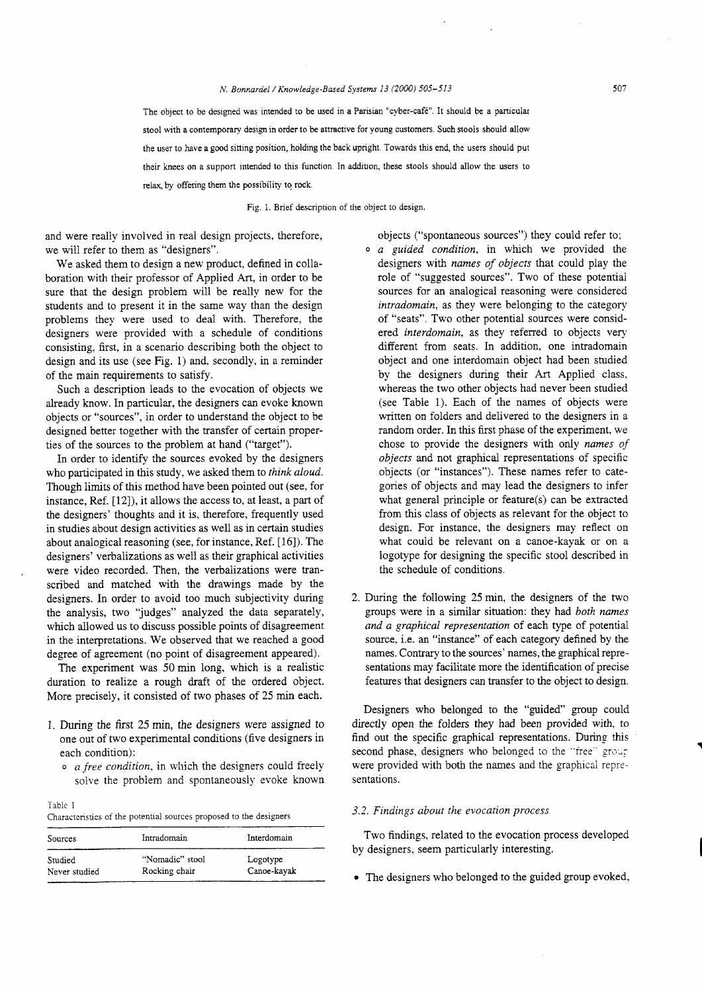The object to be designed was intended to be used in a Parisian ''cyber-café". It should be a partrcular stool with a contemporary design in order to be attractive for young customers. Such stools should allow the user to have a good sitting position, holding the back upright. Towards this end, the users should put their knees on a support intended to this function. In addition, these stools should allow the users to relax, by offering them the possibility to rock.

Fig. 1. Brief description of the object to design.

and were realiy involved in reai design projects. therefore, we will refer to them as "designers".

We asked them to design a new product, defined in collaboration with their professor of Applied Art, in order to be sure that the design problem will be really new for the sfudents and to present it in the same way than the design problems they were used to deal with. Therefore, the designers were provided with a schedule of conditions consisting, first, in a scenario describing both the object to design and its use (see Fig. 1) and, secondiy, in a reminder of the main requirements to satisfy.

Such a description leads to the evocation of objects we already know. In particular, the designers can evoke known objects or "sources", in order to understand the object to be designed better together with the transfer of certain properties of the sources to the problem at hand ("target").

In order to identify the sources evoked by the designers who participated in this study, we asked them to think aloud. Though limits of this method have been pointed out (see, for instance, Ref. [12]), it allows the access to, at least, a part of the designers' thoughts and it is, therefore, frequently used in studies about design activities as well as in certain studies about analogical reasoning (see, for instance, Ref. [16]). The designers' verbaiizations as weli as their graphical activities were video recorded. Then, the verbalizations were transcribed and matched with the drawings made by the designers. In order to avoid too much subjectivity during the analysis, two "judges" analyzed the data separately, which allowed us to discuss possible points of disagreement in the interpretations. We observed that we reached a good degree of agreement (no point of disagreement appeared).

The experiment was 50 min long, which is a realistic duration to realize a rough draft of the ordered object. More precisely, it consisted of two phases of 25 min each.

- 1. During the first 25 min, the designers were assigned to one out of two experimental conditions (five designers in each condition):
	- o a free condition, in which the designers could freely solve the problem and spontaneousiy evoke known

| Table 1                                                            |  |  |  |
|--------------------------------------------------------------------|--|--|--|
| Characteristics of the potential sources proposed to the designers |  |  |  |

| Sources       | Intradomain     | Interdomain |  |
|---------------|-----------------|-------------|--|
| Studied       | "Nomadic" stool | Logotype    |  |
| Never studied | Rocking chair   | Canoe-kayak |  |

- objects ("spontaneous sources") they couid refer to; o a guided condition, in which we provided the designers with names of objects that could play the role of "suggested sources". Two of these potential sources for an analogicai reasoning were considered intradomain, as they were belonging to the category of "seats". Two other potentiai sources were considered interdomain, as they referred to objects very different from seats. In addition, one intradomain object and one interdomain object had been studied by the designers during their Art Appiied class, whereas the two other objects had never been studied (see Table 1). Each of the names of objects were written on folders and delivered to the designers in a random order. In this first phase of the experiment, we chose to provide the designers with only names of objects and not graphical representations of specific objects (or "instances"). These names refer to categories of objects and may lead the designers to infer what general principle or feature(s) can be extracted from this ciass of objects as relevant for the object to design. For instance, the designers may reflect on what could be relevant on a canoe-kayak or on a logotype for designing the specific stool described in the schedule of conditions.
- 2. During the following 25 min, the designers of the fwo groups were in a similar situation: they had both names and a graphical representation of each type of potential source, i.e. an "instance" of each category defined by the names. Contrary to the sources' names, the graphical representations may facilitate more the identification of precise featues that designers can transfer to the object to design.

Designers who belonged to the "guided" group could directly open the folders they had been provided with, to find out the specific graphical representations. During this second phase, designers who belonged to the "free" group were provided with both the names and the graphical representations.

#### 3.2. Findings about the evocation process

Two findings, related to the evocation process developed by designers, seem particulariy interesting.

• The designers who belonged to the guided group evoked,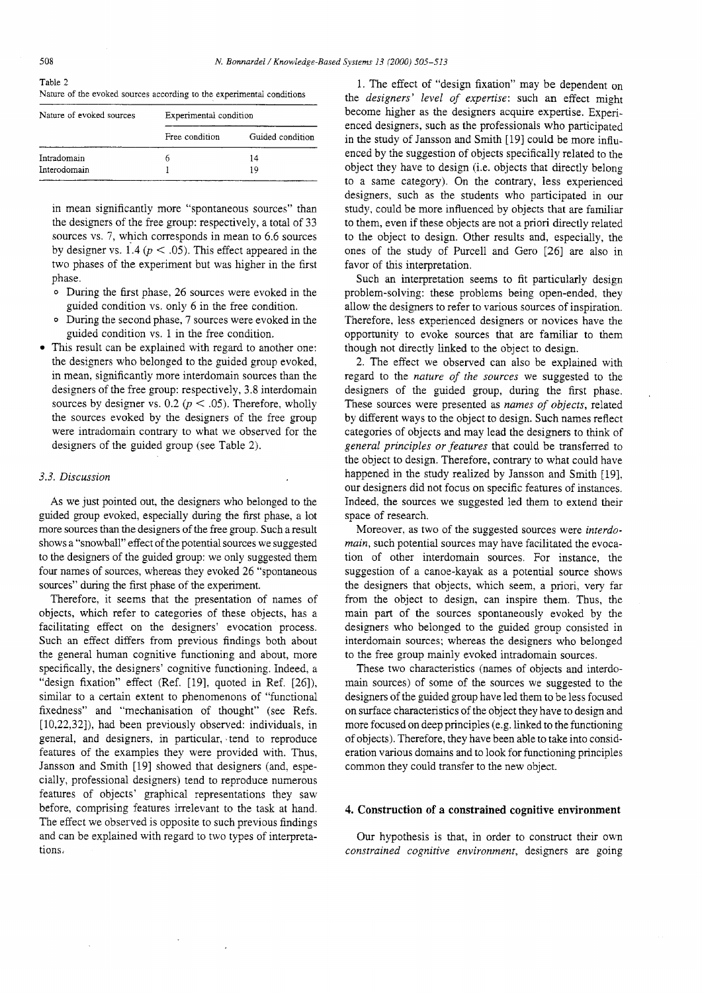#### Table 2

Nature of the evoked sources according to the experimental conditions

| Nature of evoked sources |                | Experimental condition |  |  |
|--------------------------|----------------|------------------------|--|--|
|                          | Free condition | Guided condition       |  |  |
| Intradomain              | h              | 14                     |  |  |
| Interodomain             |                | 19                     |  |  |

in mean significantiy more "spontaneous sources" than the designers of the free group: respectively, a total of 33 sources vs. 7, which corresponds in mean to 6.6 sources by designer vs. 1.4 ( $p < .05$ ). This effect appeared in the two phases of the experiment but was higher in the first phase.

- o During the first phase, 26 sources were evoked in the guided condition vs. only 6 in the free condition.
- o During the second phase, 7 sources were evoked in the guided condition vs. 1 in the free condition.
- This result can be explained with regard to another one: the designers who belonged to the guided group evoked, in mean, significantly more interdomain sources than the designers of the free group: respectively, 3.8 interdomain sources by designer vs. 0.2 ( $p < .05$ ). Therefore, wholly the sources evoked by the designers of the free group were intradomain contrary to what we observed for the designers of the guided group (see Table 2).

#### 3.3. Discussion

As we just pointed out, the designers who beionged to the guided group evoked, especialiy during the first phase, a lot more sources than the designers of the free group. Such a result shows a "snowball" effect of the potential sources we suggested to the designers of the guided group: we oniy suggested them four names of sources, whereas they evoked 26 "spontaneous sources" during the first phase of the experiment.

Therefore, it seems that the presentation of names of objects, which refer to categories of these objects, has a facilitating effect on the designers' evocation process. Such an effect differs from previous findings both about the general human cognitive functioning and about, more specifically, the designers' cognitive functioning. Indeed, a "design fixation" effect (Ref. [19], quoted in Ref. [26]), similar to a certain extent to phenomenons of "functional fixedness" and "mechanisation of thought" (see Refs. [10,22,32]), had been previously observed: individuals, in general, and designers, in particular, tend to reproduce feafures of the examples they were provided with. Thus, Jansson and Smith [19] showed that designers (and. especialiy, professional designers) tend to reproduce numerous features of objects' graphical representations they saw before, comprising features irrelevant to the task at hand. The effect we observed is opposite to such previous findings and can be explained with regard to two types of interprerations.

1. The effect of "design fixation" may be dependent on the designers' level of expertise: such an effect might become higher as the designers acquire expertise. Experienced designers, such as the professionais who participated in the study of Jansson and Smith [19] could be more influenced by the suggestion of objects specifically related to rhe object they have to design (i.e. objects that directly belong to a same category). On the contrary, iess experienced designers, such as the students who participated in our study, could be more influenced by objects that are familiar to them, even if these objects are not a priori directly related to the object to design. Other results and, especially, the ones of the study of Purcell and Gero [26] are also in favor of this interpretation.

Such an interpretation seems to fit particularly design problem-soiving: these problems being open-ended, they allow the designers to refer to various sources of inspiration. Therefore, iess experienced designers or novices have the opportunity to evoke sources that are familiar to them though not directly linked to the object to design.

2. The effect we observed can also be explained with regard to the nature of the sources we suggested to the designers of the guided group, during the first phase. These sources were presented as *names of objects*, related by different ways to the object to design. Such names reflect categories of objects and may lead the designers to think of general principles or features that could be transfened to the object to design. Therefore, contrary to what could have happened in the study realized by Jansson and Smith [19], our designers did not focus on specific features of instances. Indeed, the sources we suggested led them to extend their space of research.

Moreover, as two of the suggested sources were *interdo*main, such potential sources may have facilitated the evocation of other interdomain sources. For instance, the suggestion of a canoe-kayak as a potential source shows the designers that objects, which seem, a priori, very far from the object to design, can inspire them. Thus, the main part of the sources spontaneously evoked by the designers who beionged to the guided group consisted in interdomain sources; whereas the designers who belonged to the free group mainly evoked intradomain sources.

These two characteristics (names of objects and interdomain sources) of some of the sources we suggested to the designers of the guided group have led them to be less focused on surface characteristics of the object they have to design and more focused on deep principles (e.g. iinked to the functioning of objects). Therefore, they have been able to take into consideration various domains and to look for functioning principles common they could transfer to the new object.

#### 4. Construction of a constrained cognitive environment

Our hypothesis is that, in order to construct their own constrained cognitive environment, designers are going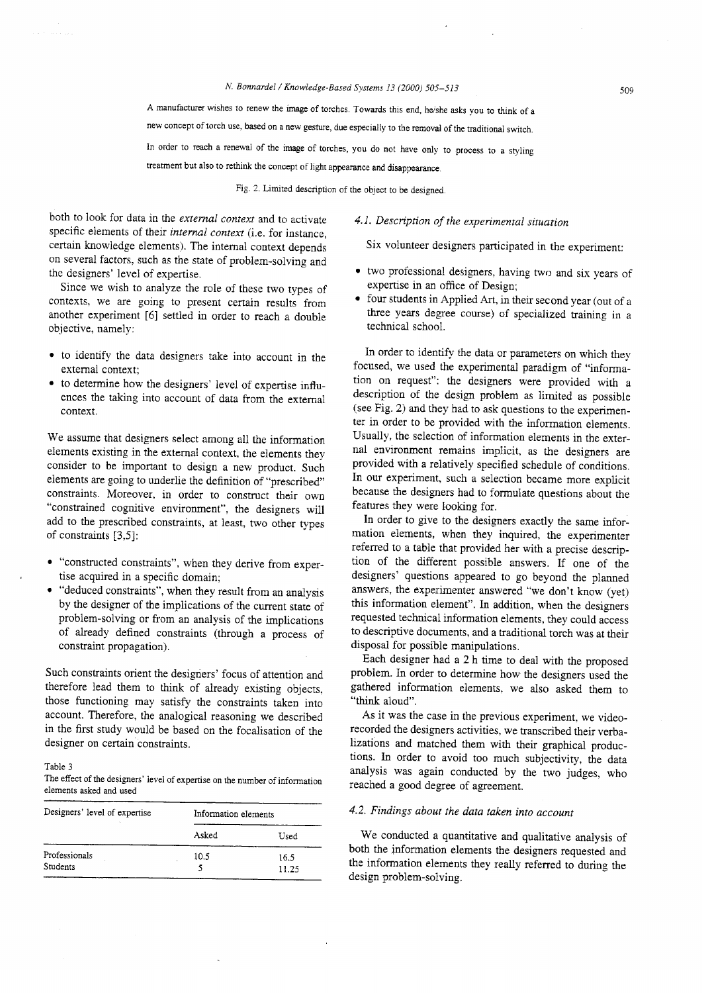# N. Bonnardel / Knowledge-Based Systems l3 (2000) 505-SI3

A manufacturer wishes to renew the image of torches. Towards this end, helshe asks you to think of a new concept of torch use, based on a new gesture, due especially to the removal of the traditional switch. in order to reach a renewal of the image of torches, you do not have only io process to a styling treatment but also to rethink the concept of light appearance and disappearance.

Fig. 2. Limited description of the object to be designed.

both to look for data in the external context and to activate specific elements of their internal context (i.e. for instance. certain knowledge eiements). The internal context depends on several factors, such as the state of problem-solving and the designers' level of experrise.

Since we wish to analyze the role of these two types of contexts, we are going to present certain results from another experiment [6] settled in order to reach a double objective, namely:

- o to identify the data designers take into account in the external context;
- . to determine how the designers' level of expertise influences the taking into account of data from the extemal context.

We assume that designers select among all the information eiements existing in the external context, the elements they consider to be important to design a new product. Such elements are going to underlie the definition of "prescribed" constraints. Moreover. in order to construct their own "constrained cognitive environment", the designers will add to the prescribed constraints, at least, two other types of constraints [3.5]:

- . "constructed constraints", when they derive from exper\_ tise acquired in a specific domain;
- "deduced constraints", when they result from an analysis by the designer of the implications of the current state of problem-solving or from an analysis of the implications of already defined constraints (through a process of constraint propagation).

Such constraints orient the designers' focus of attention and therefore iead them to think of already existing objects, those functioning may satisfy the constraints taken into account. Therefore, the analogical reasoning we described in the first study would be based on the focalisation of the designer on certain constraints.

#### Table 3

The effect of the designers' level of expenise on the number of information elements asked and used

| Designers' level of expertise | Information elements |       |  |  |
|-------------------------------|----------------------|-------|--|--|
|                               | Asked                | Used  |  |  |
| Professionals                 | 10.5                 | 16.5  |  |  |
| Students                      |                      | 11.25 |  |  |

#### 4.1. Description of the experimental situation

Six volunteer designers participated in the experiment:

- . two professional designers, having two and six years of expertise in an office of Design;
- e four students in Appiied Art, in their second year (out of a three years degree course) of specialized training in a technical school.

In order to identify the data or parameters on which they focused, we used the experimental paradigm of "information on request": the designers were provided with a descriprion of the design problem as limited as possible (see Fig. 2) and they had to ask quesrions to the experimenter in order to be provided with the information elements. Usuaily, the selection of information elements in the external environment remains implicit, as the designers are provided with a reiativeiy specified schedule of conditions. In our experiment, such a selection became more explicit because the designers had to formulate questions about the features they were looking for.

In order to give to the designers exactly the same information elements, when they inquired, the experimenter referred to a table that provided her with a precise description of the different possible ansrvers. If one of the designers' questions appeared to go beyond the planned answers, the experimenter answered "we don't know (yet) this information eiement". In addition, when the designers requested technical information elements, they could access to descriptive documents, and a traditional torch was at their disposal for possibie manipulations.

Each designer had a 2 h time to deal with the proposed problem. In order to determine how the designers used the gathered information elements, we also asked them to "think aloud".

As it was the case in the previous experiment, we videorecorded the designers activities, we transcribed their verbalizations and matched them with their graphical productions. In order to avoid too much subjectivity, the dara analysis was again conducted by the two judges, who reached a good degree of agreement.

#### 4.2. Findings about the data taken into account

We conducted a quantitative and qualitative analysis of both the information elements the designers requested and the information elements they really referred to during the design problem-soiving.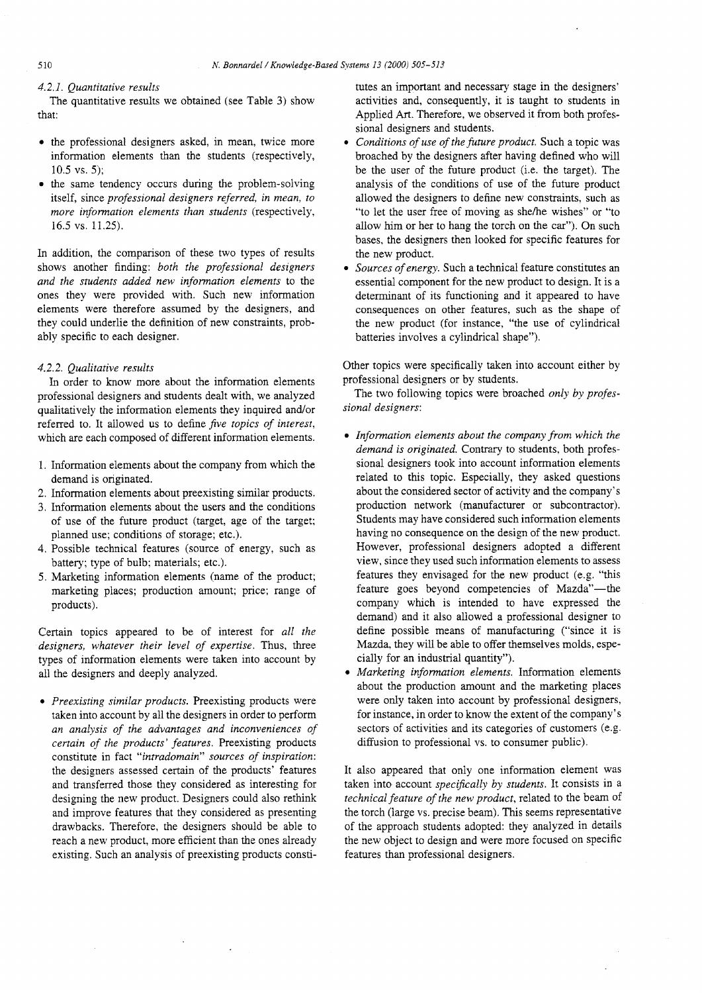## 4.2.1. Ouantitative results

The quantitative results we obtained (see Table 3) show that:

- $\bullet$  the professional designers asked, in mean, twice more information eiements than the students (respectively,  $10.5$  vs. 5);
- o the same tendency occurs during the problem-solving itself, since professional designers referred, in mean, to more information elements than students (respectively, 16.5 vs. 11.25).

In addition, the comparison of these two types of results shows another finding: both the professional designers and the students added new information elements to the ones they were provided with. Such new information elements were therefore assumed by the designers, and they could underiie the definition of new constraints, probably specific to each designer.

#### 4.2.2. Qualitative results

In order to know more about the information elements professional designers and students dealt with, we analyzed qualitatively the information elements they inquired and/or referred to. It allowed us to define five topics of interest, which are each composed of different information elements.

- 1. Information elements about the company from which the demand is originated.
- 2. Information elements about preexisting similar products.
- 3. Information elements about the users and the conditions of use of the future product (target, age of the target; planned use; conditions of storage; etc.).
- 4. Possible technical features (source of energy, such as battery; type of bulb; materials; etc.).
- 5. Marketing information eiements (name of the product; marketing places; production amount; price; range of products).

Certain topics appeared to be of interest for all the designers, whatever their level of expertise. Thus, three types of information elements were taken into account by all the designers and deepiy anaiyzed.

• Preexisting similar products. Preexisting products were taken into account by all the designers in order to perform an analysis of the advantages and inconveniences of certain of the products' features. Preexisting products constitute in fact "intradomain" sources of inspiration: the designers assessed certain of the products' features and transferred those they considered as interesting for designing the new product. Designers could aiso rethink and improve features that they considered as presenting drawbacks. Therefore, the designers should be able to reach a new product, more efficient than the ones already existing. Such an analysis of preexisting products constitutes an important and necessary stage in the designers' activities and, consequently, it is taught to students in Applied Art. Therefore, we observed it from both professional designers and students.

- Conditions of use of the future product. Such a topic was broached by the designers after having defined who will be the user of the future product (i.e. the target). The analysis of the conditions of use of the future product allowed the designers to define new constraints. such as "to let the user free of moving as she/he wishes" or "to allow him or her to hang the torch on the car"). On such bases, the designers then looked for specific features for the new product.
- Sources of energy. Such a technical feature constitutes an  $\bullet$ essential component for the new product to design. It is a determinant of its functioning and it appeared to have consequences on other feafures, such as the shape of the new product (for instance, "the use of cylindrical batteries involves a cylindrical shape").

Other topics were specifically taken into account either by professional designers or by students.

The two following topics were broached only by professional designers:

- Information elements about the company from which the demand is originated. Contrary to students, both professional designers took into account information elements related to this topic. Especially, they asked questions about the considered sector of activity and the company's production network (manufacturer or subcontractor). Students may have considered such information elements having no consequence on the design of the new product. However, professional designers adopted a different view, since they used such information elements to assess feafures they envisaged for the new product (e.g. "this feature goes beyond competencies of Mazda"-the company which is intended to have expressed the demand) and it also allowed a professional designer to define possible means of manufacturing ("since it is Mazda, they will be able to offer themselves molds, especially for an industrial quantity").
- Marketing information elements. Information elements about the production amount and the marketing places were only taken into account by professional designers, for instance, in order to know the extent of the company's sectors of activities and its categories of customers (e.g. diffusion to professional vs. to consumer public),

It also appeared that only one information eiement was taken into account specifically by students. It consists in a technical feature of the new product, related to the beam of the torch (large vs. precise beam). This seems representative of the approach students adopted: they analyzed in details the new object to design and were more focused on specific features than professionai designers.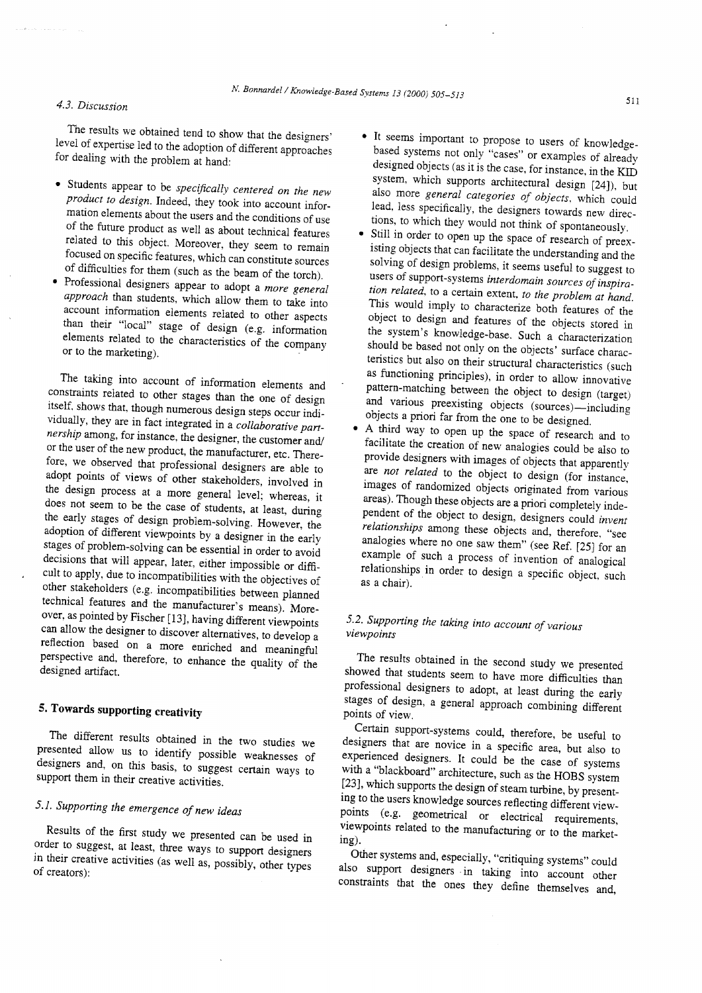## 4.3. Discussion

The results we obtained tend to show that the designers' level of expertise led to the adoption of different approaches for dealing with the problem at hand:

- Students appear to be specifically centered on the new product to design. Indeed, they took into account information elements about the users and the conditions of use of the future product as well as about technical features related to this object. Moreover, they seem to remain focused on specific features, which can constitute sources of difficulties for them (such as the beam of the torch).
- Professional designers appear to adopt a more general *approach* than students, which allow them to take into account information elements related to other aspects than their "local" stage of design (e.g. information elements related to the characteristics of the company or to the marketing).

The taking into account of information elements and constraints related to other stages than the one of design itself, shows that, though numerous design steps occur individually, they are in fact integrated in a collaborative partnership among, for instance, the designer, the customer and/ or the user of the new product, the manufacturer, etc. Therefore, we observed that professional designers are able to adopt points of views of other stakeholders, involved in the design process at a more general level; whereas, it does not seem to be the case of students, at least, during the early stages of design problem-solving. However, the adoption of different viewpoints by a designer in the early stages of problem-solving can be essential in order to avoid decisions that will appear, later, either impossible or difficult to apply, due to incompatibilities with the objectives of other stakeholders (e.g. incompatibilities between planned technical features and the manufacturer's means). Moreover, as pointed by Fischer [13], having different viewpoints can allow the designer to discover alternatives, to develop a reflection based on a more enriched and meaningful perspective and, therefore, to enhance the quality of the designed artifact.

# 5. Towards supporting creativity

The different results obtained in the two studies we presented allow us to identify possible weaknesses of designers and, on this basis, to suggest certain ways to support them in their creative activities.

# 5.1. Supporting the emergence of new ideas

Results of the first study we presented can be used in order to suggest, at least, three ways to support designers in their creative activities (as well as, possibly, other types of creators):

- It seems important to propose to users of knowledgebased systems not only "cases" or examples of already designed objects (as it is the case, for instance, in the KID system, which supports architectural design [24]), but also more general categories of objects, which could lead, less specifically, the designers towards new directions, to which they would not think of spontaneously.
- Still in order to open up the space of research of preexisting objects that can facilitate the understanding and the solving of design problems, it seems useful to suggest to users of support-systems interdomain sources of inspiration related, to a certain extent, to the problem at hand. This would imply to characterize both features of the object to design and features of the objects stored in the system's knowledge-base. Such a characterization should be based not only on the objects' surface characteristics but also on their structural characteristics (such as functioning principles), in order to allow innovative pattern-matching between the object to design (target) and various preexisting objects (sources)—including objects a priori far from the one to be designed.
- A third way to open up the space of research and to facilitate the creation of new analogies could be also to provide designers with images of objects that apparently are not related to the object to design (for instance, images of randomized objects originated from various areas). Though these objects are a priori completely independent of the object to design, designers could invent relationships among these objects and, therefore, "see analogies where no one saw them" (see Ref. [25] for an example of such a process of invention of analogical relationships in order to design a specific object, such as a chair).

# 5.2. Supporting the taking into account of various viewpoints

The results obtained in the second study we presented showed that students seem to have more difficulties than professional designers to adopt, at least during the early stages of design, a general approach combining different points of view.

Certain support-systems could, therefore, be useful to designers that are novice in a specific area, but also to experienced designers. It could be the case of systems with a "blackboard" architecture, such as the HOBS system [23], which supports the design of steam turbine, by presenting to the users knowledge sources reflecting different viewpoints (e.g. geometrical or electrical requirements, viewpoints related to the manufacturing or to the marketing).

Other systems and, especially, "critiquing systems" could also support designers in taking into account other constraints that the ones they define themselves and,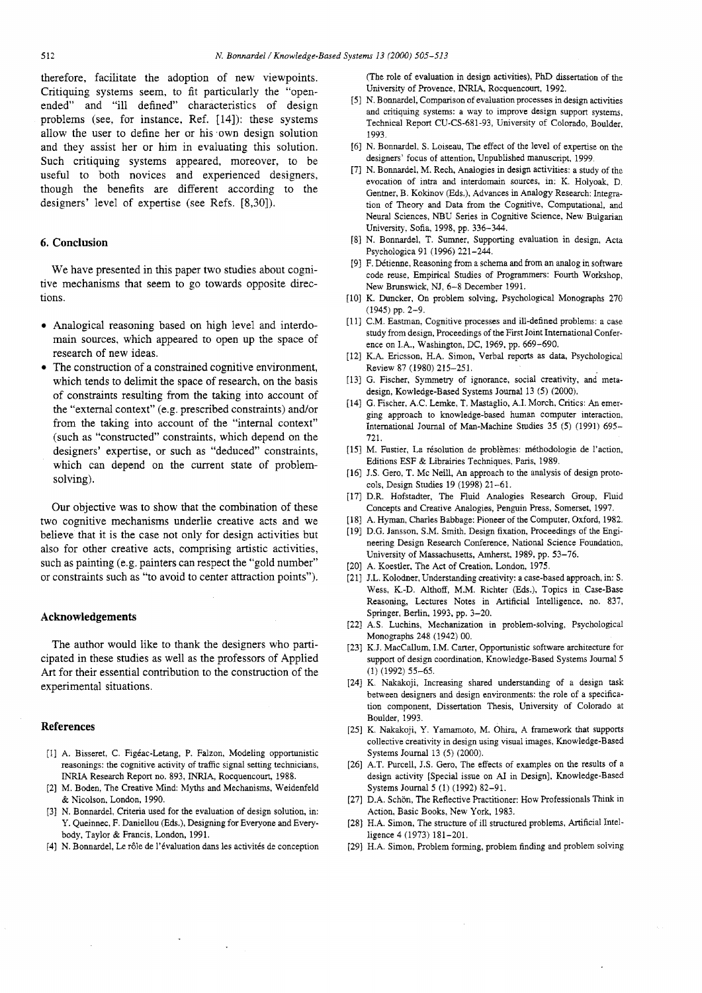therefore, faciiitate the adoption of new viewpoints. Critiquing systems seem. to fit particularly the "openended" and "ili defined" characteristics of design probiems (see, for instance, Ref. [14]): these systems allow the user to define her or his'own design solution and they assist her or him in evaluating this solution. Such critiquing systems appeared, moreover, to be useful to both novices and experienced designers, though the benefits are different according to the designers' level of expertise (see Refs.  $[8,30]$ ).

#### 6. Conclusion

We have presented in this paper two sfudies about cognitive mechanisms that seem to go towards opposite directions.

- Analogical reasoning based on high level and interdomain sources, which appeared to open up the space of research of new ideas.
- The construction of a constrained cognitive environment, which tends to delimit the space of research, on the basis of constraints resulting from the takrng into account of the "externai context" (e.g. prescribed constraints) and/or from the taking into account of the "internal context" (such as "constructed" constraints, which depend on the designers' expertise, or such as "deduced" constraints, which can depend on the current state of probiemsolving),

Our objective was to show that the combination of these two cognitive mechanisms underlie creative acts and we believe that it is the case not only for design activities but also for other creative acts, comprising artistic activities, such as painting (e.g. painters can respect the "gold number" or constraints such as "to avoid to center attraction points").

#### Acknowledgements

The author would like to thank the designers who participated in these studies as well as the professors of Applied Art for their essential contribution to the construction of the experimental situations.

#### References

- [1] A. Bisseret, C. Figéac-Letang, P. Falzon, Modeling opportunistic reasonings: the cognitive activity of traffic signal setting technicians, INRIA Research Report no. 893, INRIA, Rocquencourr, 1988.
- [2] M. Boden, The Creative Mind: Myths and Mechanisms, Weidenfeld & Nicoison. London, 1990.
- [3] N. Bonnardel, Criteria used for the evaluation of design solution, in: Y. Queinnec, F. Daniellou (Eds.), Designing for Everyone and Everybody, Taylor & Francis, London, 1991.
- [4] N. Bonnardel, Le rôle de l'évaluation dans les activités de conception

(The role of evaluation in design activities), PhD dissertation of the. University of Provence, INRIA, Rocquencourt, 1992.

- [5] N. Bonnardel, Comparison of evaluation processes in design activities and critiquing systems: a way to improve design support systems, Technical Report CU-CS-681-93, University of Colorado, Boulder, 1993.
- [6] N. Bonnardel, S. Loiseau, The effect of the level of expenise on the designers' focus of attention, Unpublished manuscript, 1999.
- [7] N. Bonnardel, M. Rech, Analogies in design activilies: a study of the evocation of intra and interdomain sources, in: K. Holyoak, D. Gentner, B. Kokinov (Eds.), Advances in Analogy Research: Integration of Theory and Data from the Cognitive, Computational, and Neural Sciences, NBU Series in Cognitive Science. New Buigarian University, Sofia, 1998, pp. 336-344.
- [8] N. Bonnardel, T. Sumner, Supporting evaluation in design, Acta Psychologica 91 (1996) 221-244.
- [9] F. Détienne, Reasoning from a schema and from an analog in software code reuse, Empirical Studies of Programmers: Fourth Workshop, New Brunswick, NJ, 6-8 December 1991.
- [10] K. Duncker, On problem solving, Psychological Monographs 270  $(1945)$  pp.  $2-9$ .
- [11] C.M. Eastman, Cognitive processes and ill-defined problems: a case study from design, Proceedings of the First Joint International Conference on I.A., Washington, DC, 1969, pp. 669-690.
- [12] K.A. Ericsson, H.A. Simon, Verbal reports as data, Psychological Review 87 (1980) 215-251
- [13] G. Fischer, Symmetry of ignorance, social creativity, and metadesign, Kowledge-Based Systems Journal 13 (5) (2000).
- [14] G. Fischer, A.C. Lemke, T. Mastaglio, A.I. Morch, Critics: An emerging approach to knowiedge-based human computer interaction, Intemational Journal of Man-Machine Studies 35 (5) (1991) 695- 72r.
- [15] M. Fustier, La résoiution de problèmes: méthodologie de I'action, Editions ESF & Librairies Techniques. Paris, 1989.
- [16] J.S. Gero, T. Mc Neill, An approach to the analysis of design protocols, Design Studies 19 (1998) 21-61.
- [17] D.R. Hofstadter, The Fluid Analogies Research Group, Ruid Concepts and Creative Analogies, Penguin Press, Somerset, 1997.
- [18] A. Hyman, Charles Babbage: Pioneer of the Computer, Oxford, 1982.
- l19l D.G. Jansson, S.M. Smith, Design frxation, Proceedings of the Engineering Design Research Conference, National Science Foundation, University of Massachusetts, Amherst, 1989, pp. 53-76.
- [20] A. Koestler, The Act of Creation, London, 1975.
- [21] J.L. Kolodner, Understanding creativity: a case-based approach, in: S. Wess, K.-D. Althoff, M.M. Richter (Eds.), Topics in Case-Base Reasoning, Lectures Notes in Artificial Intelligence, no. 837, Springer, Berlin, 1993, pp.3-20.
- [22] A.S. Luchins, Mechanization in problem-solving, Psychological Monographs 248 (1942) 00.
- [23] K.J. MacCallum, I.M. Carter, Opportunistic software architecture for support of design coordination, Knowledge-Based Systems Joumal 5 (1) (1992) 55-65.
- [2a] K. Natakoji, Increasing shared understanding of a design task between designers and design environments: the role of a specification component, Dissertaton Thesis, University of Colorado at Boulder, 1993.
- [25] K. Nakakoji, Y. Yamamoto, M. Ohira, A framework that supports collective creativity in design using visual images, Knowledge-Based Systems Journal 13 (5) (2000).
- [26] A.T. Purcell, J.S. Gero, The effects of examples on the results of a design activity [Special issue on AI in Design], Knowledge-Based Systems Journal 5 (1) (1992) 82-91.
- 127) D.A. Schôn, The Reflective Practitioner: How hofessionals Think in Action, Basic Books, New York, 1983.
- [28] H.A. Simon, The structure of ill structured problems, Artificial Intelligence 4 (19?3) 181-201.
- I29l H.A. Simon, Problem forming, probiem frnding and probiem solving